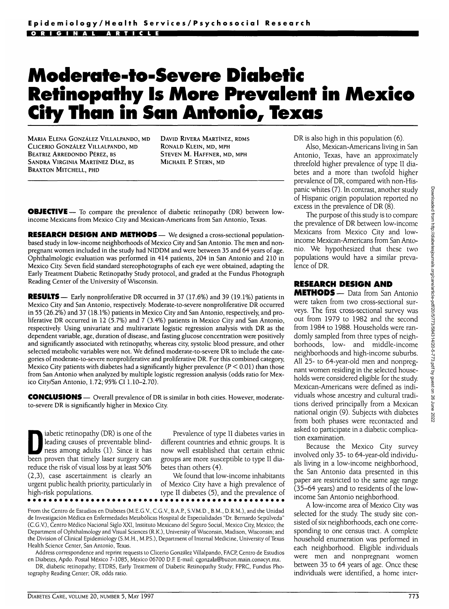## **Moderate-to-Severe Diabetic Retinopathy Is More Prevalent in Mexico City Than in San Antonio, Texas**

MARIA ELENA GONZALEZ VILLALPANDO, MD CLICERIO GONZALEZ VILLALPANDO, MD BEATRIZ ARREDONDO PEREZ, BS SANDRA VIRGINIA MARTINEZ DIAZ, BS BRAXTON MITCHELL, PHD

DAVID RIVERA MARTINEZ, RDMS RONALD KLEIN, MD, MPH STEVEN M. HAFFNER, MD, MPH MICHAEL P. STERN, MD

**OBJECTIVE** — To compare the prevalence of diabetic retinopathy (DR) between lowincome Mexicans from Mexico City and Mexican-Americans from San Antonio, Texas.

**RESEARCH DESIGN AND METHODS**— We designed a cross-sectional populationbased study in low-income neighborhoods of Mexico City and San Antonio. The men and nonpregnant women included in the study had NIDDM and were between 35 and 64 years of age. Ophthalmologic evaluation was performed in 414 patients, 204 in San Antonio and 210 in Mexico City. Seven field standard stereophotographs of each eye were obtained, adapting the Early Treatment Diabetic Retinopathy Study protocol, and graded at the Fundus Photograph Reading Center of the University of Wisconsin.

**RESULTS—** Early nonproliferative DR occurred in 37 (17.6%) and 39 (19.1%) patients in Mexico City and San Antonio, respectively. Moderate-to-severe nonproliferative DR occurred in 55 (26.2%) and 37 (18.1%) patients in Mexico City and San Antonio, respectively, and proliferative DR occurred in 12 (5.7%) and 7 (3.4%) patients in Mexico City and San Antonio, respectively. Using univariate and multivariate logistic regression analysis with DR as the dependent variable, age, duration of disease, and fasting glucose concentration were positively and significantly associated with retinopathy, whereas city, systolic blood pressure, and other selected metabolic variables were not. We defined moderate-to-severe DR to include the categories of moderate-to-severe nonproliferative and proliferative DR. For this combined category, Mexico City patients with diabetes had a significantly higher prevalence ( $P < 0.01$ ) than those from San Antonio when analyzed by multiple logistic regression analysis (odds ratio for Mexico City/San Antonio, 1.72; 95% CI 1.10-2.70).

**CONCLUSIONS** — Overall prevalence of DR is similar in both cities. However, moderateto-severe DR is significantly higher in Mexico City.

iabetic retinopathy (DR) is one of the<br>leading causes of preventable blind-<br>ness among adults (1). Since it has leading causes of preventable blindness among adults (1). Since it has been proven that timely laser surgery can reduce the risk of visual loss by at least 50% (2,3), case ascertainment is clearly an urgent public health priority, particularly in high-risk populations.

Prevalence of type II diabetes varies in different countries and ethnic groups. It is now well established that certain ethnic groups are more susceptible to type II diabetes than others (4).

We found that low-income inhabitants of Mexico City have a high prevalence of type II diabetes (5), and the prevalence of

From the Centro de Estudios en Diabetes (M.E.G.V., C.G.V., B.A.P., S.V.M.D., B.M., D.R.M.), and the Unidad de Investigacion Medica en Enfermedades Metab6licas Hospital de Especialidades "Dr. Bernardo Sepulveda" (C.G.V), Centra Medico Nacional Siglo XXI, Instituto Mexicano del Seguro Social, Mexico City, Mexico; the Department of Ophthalmology and Visual Sciences (R.K.), University of Wisconsin, Madison, Wisconsin; and the Division of Clinical Epidemiology (S.M.H., M.PS.), Department of Internal Medicine, University of Texas Health Science Center, San Antonio, Texas.

Address correspondence and reprint requests to Clicerio González Villalpando, FACP, Centro de Estudios en Diabetes, Apdo. Postal Mexico 7-1085, Mexico 06700 D.E E-mail: cgonzala@buzon.main.conacyt.mx.

DR, diabetic retinopathy; ETDRS, Early Treatment of Diabetic Retinopathy Study; FPRC, Fundus Photography Reading Center; OR, odds ratio.

DR is also high in this population (6).

Also, Mexican-Americans living in San Antonio, Texas, have an approximately threefold higher prevalence of type II diabetes and a more than twofold higher prevalence of DR, compared with non-Hispanic whites (7). In contrast, another study of Hispanic origin population reported no excess in the prevalence of DR (8).

The purpose of this study is to compare the prevalence of DR between low-income Mexicans from Mexico City and lowincome Mexican-Americans from San Antonio. We hypothesized that these two populations would have a similar prevalence of DR.

## **RESEARCH DESIGN AND**

**METHODS — Data from San Antonio** were taken from two cross-sectional surveys. The first cross-sectional survey was out from 1979 to 1982 and the second from 1984 to 1988. Households were randomly sampled from three types of neighborhoods, low- and middle-income neighborhoods and high-income suburbs. All 25- to 64-year-old men and nonpregnant women residing in the selected households were considered eligible for the study. Mexican-Americans were defined as individuals whose ancestry and cultural traditions derived principally from a Mexican national origin (9). Subjects with diabetes from both phases were recontacted and asked to participate in a diabetic complication examination.

Because the Mexico City survey involved only 35- to 64-year-old individuals living in a low-income neighborhood, the San Antonio data presented in this paper are restricted to the same age range (35-64 years) and to residents of the lowincome San Antonio neighborhood.

A low-income area of Mexico City was selected for the study. The study site consisted of six neighborhoods, each one corresponding to one census tract. A complete household enumeration was performed in each neighborhood. Eligible individuals were men and nonpregnant women between 35 to 64 years of age. Once these individuals were identified, a home inter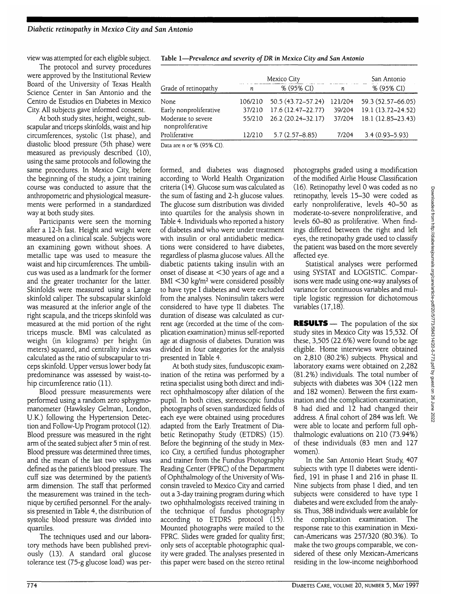view was attempted for each eligible subject.

The protocol and survey procedures were approved by the Institutional Review Board of the University of Texas Health Science Center in San Antonio and the Centro de Estudios en Diabetes in Mexico City. All subjects gave informed consent.

At both study sites, height, weight, subscapular and triceps skinfolds, waist and hip circumferences, systolic (1st phase), and diastolic blood pressure (5th phase) were measured as previously described (10), using the same protocols and following the same procedures. In Mexico City, before the beginning of the study, a joint training course was conducted to assure that the anthropometric and physiological measurements were performed in a standardized way at both study sites.

Participants were seen the morning after a 12-h fast. Height and weight were measured on a clinical scale. Subjects wore an examining gown without shoes. A metallic tape was used to measure the waist and hip circumferences. The umbilicus was used as a landmark for the former and the greater trochanter for the latter. Skinfolds were measured using a Lange skinfold caliper. The subscapular skinfold was measured at the inferior angle of the right scapula, and the triceps skinfold was measured at the mid portion of the right triceps muscle. BMI was calculated as weight (in kilograms) per height (in meters) squared, and centrality index was calculated as the ratio of subscapular to triceps skinfold. Upper versus lower body fat predominance was assessed by waist-tohip circumference ratio (11).

Blood pressure measurements were performed using a random zero sphygmomanometer (Hawksley Gelman, London, U.K.) following the Hypertension Detection and Follow-Up Program protocol (12). Blood pressure was measured in the right arm of the seated subject after 5 min of rest. Blood pressure was determined three times, and the mean of the last two values was defined as the patient's blood pressure. The cuff size was determined by the patient's arm dimension. The staff that performed the measurement was trained in the technique by certified personnel. For the analysis presented in Table 4, the distribution of systolic blood pressure was divided into quartiles.

The techniques used and our laboratory methods have been published previously (13). A standard oral glucose tolerance test (75-g glucose load) was per-

|                                                                                       |         | Mexico City        | San Antonio |                    |  |
|---------------------------------------------------------------------------------------|---------|--------------------|-------------|--------------------|--|
| Grade of retinopathy                                                                  | n       | % (95% CI)         | n           | % (95% CI)         |  |
| None                                                                                  | 106/210 | 50.5 (43.72-57.24) | 121/204     | 59.3 (52.57-66.05) |  |
| Early nonproliferative                                                                | 37/210  | 17.6 (12.47-22.77) | 39/204      | 19.1 (13.72-24.52) |  |
| Moderate to severe<br>nonproliferative                                                | 55/210  | 26.2 (20.24-32.17) | 37/204      | 18.1 (12.85-23.43) |  |
| Proliferative                                                                         | 12/210  | $5.7(2.57 - 8.85)$ | 7/204       | $3.4(0.93 - 5.93)$ |  |
| $D_{\text{obs}}$ and $\mu$ and $\theta$ ( $\theta$ E $\theta$ ) $\theta$ ( $\theta$ ) |         |                    |             |                    |  |

Table 1—*Prevalence and severity ofDR in Mexico City and San Antonio*

Data are *n* or % (95% CI).

formed, and diabetes was diagnosed according to World Health Organization criteria (14). Glucose sum was calculated as the sum of fasting and 2-h glucose values. The glucose sum distribution was divided into quartiles for the analysis shown in Table 4. Individuals who reported a history of diabetes and who were under treatment with insulin or oral antidiabetic medications were considered to have diabetes, regardless of plasma glucose values. All the diabetic patients taking insulin with an onset of disease at <30 years of age and a BMI <30 kg/m2 were considered possibly to have type I diabetes and were excluded from the analyses. Noninsulin takers were considered to have type II diabetes. The duration of disease was calculated as current age (recorded at the time of the complication examination) minus self-reported age at diagnosis of diabetes. Duration was divided in four categories for the analysis presented in Table 4.

At both study sites, funduscopic examination of the retina was performed by a retina specialist using both direct and indirect ophthalmoscopy after dilation of the pupil. In both cities, stereoscopic fundus photographs of seven standardized fields of each eye were obtained using procedures adapted from the Early Treatment of Diabetic Retinopathy Study (ETDRS) (15). Before the beginning of the study in Mexico City, a certified fundus photographer and trainer from the Fundus Photography Reading Center (FPRC) of the Department of Ophthalmology of the University of Wisconsin traveled to Mexico City and carried out a 3-day training program during which two ophthalmologists received training in the technique of fundus photography according to ETDRS protocol (15). Mounted photographs were mailed to the FPRC. Slides were graded for quality first; only sets of acceptable photographic quality were graded. The analyses presented in this paper were based on the stereo retinal

photographs graded using a modification of the modified Airlie House Classification (16). Retinopathy level 0 was coded as no retinopathy, levels 15-30 were coded as early nonproliferative, levels 40-50 as moderate-to-severe nonproliferative, and levels 60-80 as proliferative. When findings differed between the right and left eyes, the retinopathy grade used to classify the patient was based on the more severely affected eye.

Statistical analyses were performed using SYSTAT and LOGISTIC. Comparisons were made using one-way analyses of variance for continuous variables and multiple logistic regression for dichotomous variables (17,18).

**RESULTS** — The population of the six study sites in Mexico City was 15,532. Of these, 3,505 (22.6%) were found to be age eligible. Home interviews were obtained on 2,810 (80.2%) subjects. Physical and laboratory exams were obtained on 2,282 (81.2%) individuals. The total number of subjects with diabetes was 304 (122 men and 182 women). Between the first examination and the complication examination, 8 had died and 12 had changed their address. A final cohort of 284 was left. We were able to locate and perform full ophthalmologic evaluations on 210 (73.94%) of these individuals (83 men and 127 women).

In the San Antonio Heart Study, 407 subjects with type II diabetes were identified, 191 in phase I and 216 in phase II. Nine subjects from phase I died, and ten subjects were considered to have type I diabetes and were excluded from the analysis. Thus, 388 individuals were available for the complication examination. The response rate to this examination in Mexican-Americans was 257/320 (80.3%). To make the two groups comparable, we considered of these only Mexican-Americans residing in the low-income neighborhood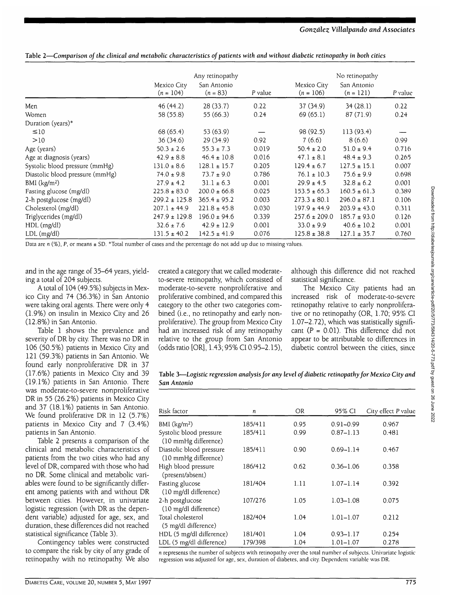Table 2—*Comparison of the clinical and metabolic characteristics of patients with and without diabetic retinopathy in both cities*

|                                 | Any retinopathy<br>San Antonio<br>Mexico City |                  |         | No retinopathy<br>Mexico City<br>San Antonio |                  |         |
|---------------------------------|-----------------------------------------------|------------------|---------|----------------------------------------------|------------------|---------|
|                                 | $(n = 104)$                                   | $(n = 83)$       | P value | $(n = 106)$                                  | $(n = 121)$      | P value |
| Men                             | 46(44.2)                                      | 28(33.7)         | 0.22    | 37(34.9)                                     | 34(28.1)         | 0.22    |
| Women                           | 58 (55.8)                                     | 55 (66.3)        | 0.24    | 69 (65.1)                                    | 87 (71.9)        | 0.24    |
| Duration (years)*               |                                               |                  |         |                                              |                  |         |
| $\leq 10$                       | 68 (65.4)                                     | 53 (63.9)        |         | 98 (92.5)                                    | 113(93.4)        |         |
| >10                             | 36(34.6)                                      | 29(34.9)         | 0.92    | 7(6.6)                                       | 8(6.6)           | 0.99    |
| Age (years)                     | $50.3 \pm 2.6$                                | $55.3 \pm 7.3$   | 0.019   | $50.4 \pm 2.0$                               | $51.0 \pm 9.4$   | 0.716   |
| Age at diagnosis (years)        | $42.9 \pm 8.8$                                | $46.4 \pm 10.8$  | 0.016   | $47.1 \pm 8.1$                               | $48.4 \pm 9.3$   | 0.265   |
| Systolic blood pressure (mmHg)  | $131.0 \pm 8.6$                               | $128.1 \pm 15.7$ | 0.205   | $129.4 \pm 6.7$                              | $127.5 \pm 15.1$ | 0.007   |
| Diastolic blood pressure (mmHg) | $74.0 \pm 9.8$                                | $73.7 \pm 9.0$   | 0.786   | $76.1 \pm 10.3$                              | $75.6 \pm 9.9$   | 0.698   |
| BMI $(kg/m2)$                   | $27.9 \pm 4.2$                                | $31.1 \pm 6.3$   | 0.001   | $29.9 \pm 4.5$                               | $32.8 \pm 6.2$   | 0.001   |
| Fasting glucose (mg/dl)         | $225.8 \pm 83.0$                              | $200.0 \pm 66.8$ | 0.025   | $153.5 \pm 65.3$                             | $160.5 \pm 61.3$ | 0.389   |
| 2-h postglucose (mg/dl)         | $299.2 \pm 125.8$                             | $365.4 \pm 95.2$ | 0.003   | $273.3 \pm 80.1$                             | $296.0 \pm 87.1$ | 0.106   |
| Cholesterol (mg/dl)             | $207.1 \pm 44.9$                              | $221.8 \pm 45.8$ | 0.030   | $197.9 \pm 44.9$                             | $203.9 \pm 43.0$ | 0.311   |
| Triglycerides (mg/dl)           | $247.9 \pm 129.8$                             | $196.0 \pm 94.6$ | 0.339   | $257.6 \pm 209.0$                            | $185.7 \pm 93.0$ | 0.126   |
| HDL (mg/dl)                     | $32.6 \pm 7.6$                                | $42.9 \pm 12.9$  | 0.001   | $33.0 \pm 9.9$                               | $40.6 \pm 10.2$  | 0.001   |
| $LDL$ (mg/dl)                   | $131.5 \pm 40.2$                              | $142.5 \pm 41.9$ | 0.076   | $125.8 \pm 38.8$                             | $127.1 \pm 35.7$ | 0.760   |

Data are *n* (%), P, or means ± SD. \*Total number of cases and the percentage do not add up due to missing values.

and in the age range of 35-64 years, yielding a total of 204 subjects.

A total of 104 (49.5%) subjects in Mexico City and 74 (36.3%) in San Antonio were taking oral agents. There were only 4 (1.9%) on insulin in Mexico City and 26 (12.8%) in San Antonio.

Table 1 shows the prevalence and severity of DR by city. There was no DR in 106 (50.5%) patients in Mexico City and 121 (59.3%) patients in San Antonio. We found early nonproliferative DR in 37 (17.6%) patients in Mexico City and 39 (19.1%) patients in San Antonio. There was moderate-to-severe nonproliferative DR in 55 (26.2%) patients in Mexico City and 37 (18.1%) patients in San Antonio. We found proliferative DR in 12 (5.7%) patients in Mexico City and 7 (3.4%) patients in San Antonio.

Table 2 presents a comparison of the clinical and metabolic characteristics of patients from the two cities who had any level of DR, compared with those who had no DR. Some clinical and metabolic variables were found to be significantly different among patients with and without DR between cities. However, in univariate logistic regression (with DR as the dependent variable) adjusted for age, sex, and duration, these differences did not reached statistical significance (Table 3).

Contingency tables were constructed to compare the risk by city of any grade of retinopathy with no retinopathy. We also created a category that we called moderateto-severe retinopathy, which consisted of moderate-to-severe nonproliferative and proliferative combined, and compared this category to the other two categories combined (i.e., no retinopathy and early nonproliferative). The group from Mexico City had an increased risk of any retinopathy relative to the group from San Antonio (oddsratio [OR], 1.43; 95% CI 0.95-2.15), although this difference did not reached statistical significance.

The Mexico City patients had an increased risk of moderate-to-severe retinopathy relative to early nonproliferative or no retinopathy (OR, 1.70; 95% CI 1.07-2.72), which was statistically significant  $(P = 0.01)$ . This difference did not appear to be attributable to differences in diabetic control between the cities, since

Table 3—*Logistic regression analysis for any level of diabetic retinopathy for Mexico City and San Antonio*

| Risk factor                                      | n       | OR.  | 95% CI        | City effect P value |
|--------------------------------------------------|---------|------|---------------|---------------------|
| $BMI$ (kg/m <sup>2</sup> )                       | 185/411 | 0.95 | $0.91 - 0.99$ | 0.967               |
| Systolic blood pressure<br>(10 mmHg difference)  | 185/411 | 0.99 | $0.87 - 1.13$ | 0.481               |
| Diastolic blood pressure<br>(10 mmHg difference) | 185/411 | 0.90 | $0.69 - 1.14$ | 0.467               |
| High blood pressure<br>(present/absent)          | 186/412 | 0.62 | $0.36 - 1.06$ | 0.358               |
| Fasting glucose<br>(10 mg/dl difference)         | 181/404 | 1.11 | $1.07 - 1.14$ | 0.392               |
| 2-h postglucose<br>(10 mg/dl difference)         | 107/276 | 1.05 | $1.03 - 1.08$ | 0.075               |
| Total cholesterol<br>(5 mg/dl difference)        | 182/404 | 1.04 | $1.01 - 1.07$ | 0.212               |
| HDL (5 mg/dl difference)                         | 181/401 | 1.04 | $0.93 - 1.17$ | 0.254               |
| LDL (5 mg/dl difference)                         | 179/398 | 1.04 | $1.01 - 1.07$ | 0.278               |

*n* represents the number of subjects with retinopathy over the total number of subjects. Univariate logistic regression was adjusted for age, sex, duration of diabetes, and city. Dependent variable was DR.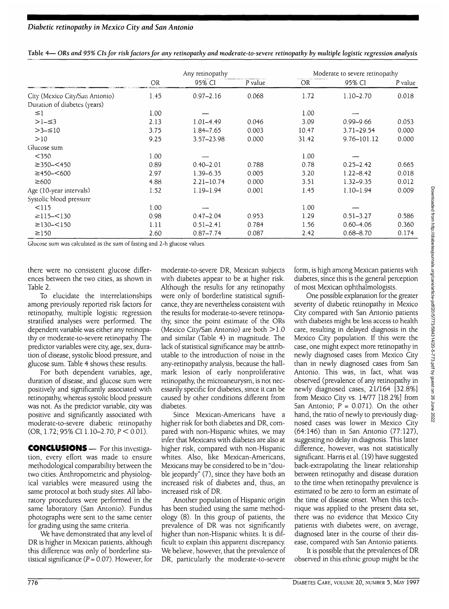|                                | Any retinopathy |                |         | Moderate to severe retinopathy |                |         |  |
|--------------------------------|-----------------|----------------|---------|--------------------------------|----------------|---------|--|
|                                | <b>OR</b>       | 95% CI         | P value | <b>OR</b>                      | 95% CI         | P value |  |
| City (Mexico City/San Antonio) | 1.45            | $0.97 - 2.16$  | 0.068   | 1.72                           | $1.10 - 2.70$  | 0.018   |  |
| Duration of diabetes (years)   |                 |                |         |                                |                |         |  |
| $\leq$ 1                       | 1.00            |                |         | 1.00                           |                |         |  |
| $>1-53$                        | 2.13            | $1.01 - 4.49$  | 0.046   | 3.09                           | $0.99 - 9.66$  | 0.053   |  |
| $>3-≤10$                       | 3.75            | 1.84-7.65      | 0.003   | 10.47                          | $3.71 - 29.54$ | 0.000   |  |
| >10                            | 9.25            | $3.57 - 23.98$ | 0.000   | 31.42                          | 9.76-101.12    | 0.000   |  |
| Glucose sum                    |                 |                |         |                                |                |         |  |
| $<$ 350                        | 1.00            |                |         | 1.00                           |                |         |  |
| $\geq$ 350- $\leq$ 450         | 0.89            | $0.40 - 2.01$  | 0.788   | 0.78                           | $0.25 - 2.42$  | 0.665   |  |
| ≥450–<600                      | 2.97            | $1.39 - 6.35$  | 0.005   | 3.20                           | $1.22 - 8.42$  | 0.018   |  |
| $\geq 600$                     | 4.88            | $2.21 - 10.74$ | 0.000   | 3.51                           | $1.32 - 9.35$  | 0.012   |  |
| Age (10-year intervals)        | 1.52            | $1.19 - 1.94$  | 0.001   | 1.45                           | $1.10 - 1.94$  | 0.009   |  |
| Systolic blood pressure        |                 |                |         |                                |                |         |  |
| $<$ 115                        | 1.00            |                |         | 1.00                           |                |         |  |
| $\geq$ 115- $\leq$ 130         | 0.98            | $0.47 - 2.04$  | 0.953   | 1.29                           | $0.51 - 3.27$  | 0.586   |  |
| $\geq$ 130- $\leq$ 150         | 1.11            | $0.51 - 2.41$  | 0.784   | 1.56                           | $0.60 - 4.06$  | 0.360   |  |
| $\geq$ 150                     | 2.60            | $0.87 - 7.74$  | 0.087   | 2.42                           | $0.68 - 8.70$  | 0.174   |  |

Table 4— ORs *and 95% CIsfor risk factors for any retinopathy and moderate-to-severe retinopathy by multiple logistic regression analysis*

Glucose sum was calculated as the sum of fasting and 2-h glucose values.

there were no consistent glucose differences between the two cities, as shown in Table 2.

To elucidate the interrelationships among previously reported risk factors for retinopathy, multiple logistic regression stratified analyses were performed. The dependent variable was either any retinopathy or moderate-to-severe retinopathy. The predictor variables were city, age, sex, duration of disease, systolic blood pressure, and glucose sum. Table 4 shows these results.

For both dependent variables, age, duration of disease, and glucose sum were positively and significantly associated with retinopathy, whereas systolic blood pressure was not. As the predictor variable, city was positive and significantly associated with moderate-to-severe diabetic retinopathy (OR, 1.72; 95% CI 1.10-2.70;  $P < 0.01$ ).

CONCLUSIONS — For this investigation, every effort was made to ensure methodological comparability between the two cities. Anthropometric and physiological variables were measured using the same protocol at both study sites. All laboratory procedures were performed in the same laboratory (San Antonio). Fundus photographs were sent to the same center for grading using the same criteria.

We have demonstrated that any level of DR is higher in Mexican patients, although this difference was only of borderline statistical significance ( $P = 0.07$ ). However, for

moderate-to-severe DR, Mexican subjects with diabetes appear to be at higher risk. Although the results for any retinopathy were only of borderline statistical significance, they are nevertheless consistent with the results for moderate-to-severe retinopathy, since the point estimate of the ORs (Mexico City/San Antonio) are both >1.0 and similar (Table 4) in magnitude. The lack of statistical significance may be attributable to the introduction of noise in the any-retinopathy analysis, because the hallmark lesion of early nonproliferative retinopathy, the microaneurysm, is not necessarily specific for diabetes, since it can be caused by other conditions different from diabetes.

Since Mexican-Americans have a higher risk for both diabetes and DR, compared with non-Hispanic whites, we may infer that Mexicans with diabetes are also at higher risk, compared with non-Hispanic whites. Also, like Mexican-Americans, Mexicans may be considered to be in "double jeopardy" (7), since they have both an increased risk of diabetes and, thus, an increased risk of DR.

Another population of Hispanic origin has been studied using the same methodology (8). In this group of patients, the prevalence of DR was not significantly higher than non-Hispanic whites. It is difficult to explain this apparent discrepancy. We believe, however, that the prevalence of DR, particularly the moderate-to-severe

form, is high among Mexican patients with diabetes, since this is the general perception of most Mexican ophthalmologists.

One possible explanation for the greater severity of diabetic retinopathy in Mexico City compared with San Antonio patients with diabetes might be less access to health care, resulting in delayed diagnosis in the Mexico City population. If this were the case, one might expect more retinopathy in newly diagnosed cases from Mexico City than in newly diagnosed cases from San Antonio. This was, in fact, what was observed (prevalence of any retinopathy in newly diagnosed cases, 21/164 [32.8%] from Mexico City vs. 14/77 [18.2%] from San Antonio;  $P = 0.071$ ). On the other hand, the ratio of newly to previously diagnosed cases was lower in Mexico City (64:146) than in San Antonio (77:127), suggesting no delay in diagnosis. This latter difference, however, was not statistically significant. Harris et al. (19) have suggested back-extrapolating the linear relationship between retinopathy and disease duration to the time when retinopathy prevalence is estimated to be zero to form an estimate of the time of disease onset. When this technique was applied to the present data set, there was no evidence that Mexico City patients with diabetes were, on average, diagnosed later in the course of their disease, compared with San Antonio patients.

It is possible that the prevalences of DR observed in this ethnic group might be the Downloaded from http://diabetesjournals.org/care/article-pdf/20/5/773/584314/20-5-773.pdf by guest on 26 June 2022 Downloaded from http://diabetesjournals.org/care/article-pdf/20/5/773/584314/20-5-773.pdf by guest on 26 June 2022